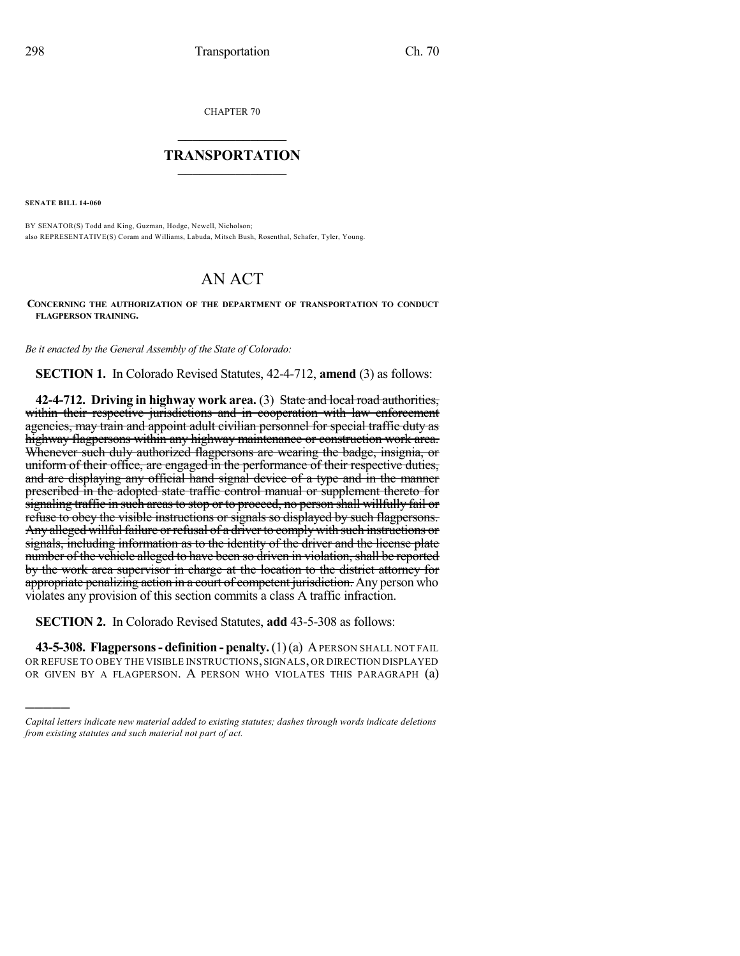CHAPTER 70

## $\overline{\phantom{a}}$  . The set of the set of the set of the set of the set of the set of the set of the set of the set of the set of the set of the set of the set of the set of the set of the set of the set of the set of the set o **TRANSPORTATION**  $\_$   $\_$   $\_$   $\_$   $\_$   $\_$   $\_$   $\_$   $\_$

**SENATE BILL 14-060**

)))))

BY SENATOR(S) Todd and King, Guzman, Hodge, Newell, Nicholson; also REPRESENTATIVE(S) Coram and Williams, Labuda, Mitsch Bush, Rosenthal, Schafer, Tyler, Young.

## AN ACT

**CONCERNING THE AUTHORIZATION OF THE DEPARTMENT OF TRANSPORTATION TO CONDUCT FLAGPERSON TRAINING.**

*Be it enacted by the General Assembly of the State of Colorado:*

**SECTION 1.** In Colorado Revised Statutes, 42-4-712, **amend** (3) as follows:

**42-4-712. Driving in highway work area.** (3) State and local road authorities, within their respective jurisdictions and in cooperation with law enforcement agencies, may train and appoint adult civilian personnel for special traffic duty as highway flagpersons within any highway maintenance or construction work area. Whenever such duly authorized flagpersons are wearing the badge, insignia, or uniform of their office, are engaged in the performance of their respective duties, and are displaying any official hand signal device of a type and in the manner prescribed in the adopted state traffic control manual or supplement thereto for signaling traffic in such areas to stop or to proceed, no person shall willfully fail or refuse to obey the visible instructions or signals so displayed by such flagpersons. Any alleged willful failure or refusal of a driver to comply with such instructions or signals, including information as to the identity of the driver and the license plate number of the vehicle alleged to have been so driven in violation, shall be reported by the work area supervisor in charge at the location to the district attorney for appropriate penalizing action in a court of competent jurisdiction. Any person who violates any provision of this section commits a class A traffic infraction.

**SECTION 2.** In Colorado Revised Statutes, **add** 43-5-308 as follows:

**43-5-308. Flagpersons- definition - penalty.**(1)(a) APERSON SHALL NOT FAIL OR REFUSE TO OBEY THE VISIBLE INSTRUCTIONS, SIGNALS, OR DIRECTION DISPLAYED OR GIVEN BY A FLAGPERSON. A PERSON WHO VIOLATES THIS PARAGRAPH (a)

*Capital letters indicate new material added to existing statutes; dashes through words indicate deletions from existing statutes and such material not part of act.*